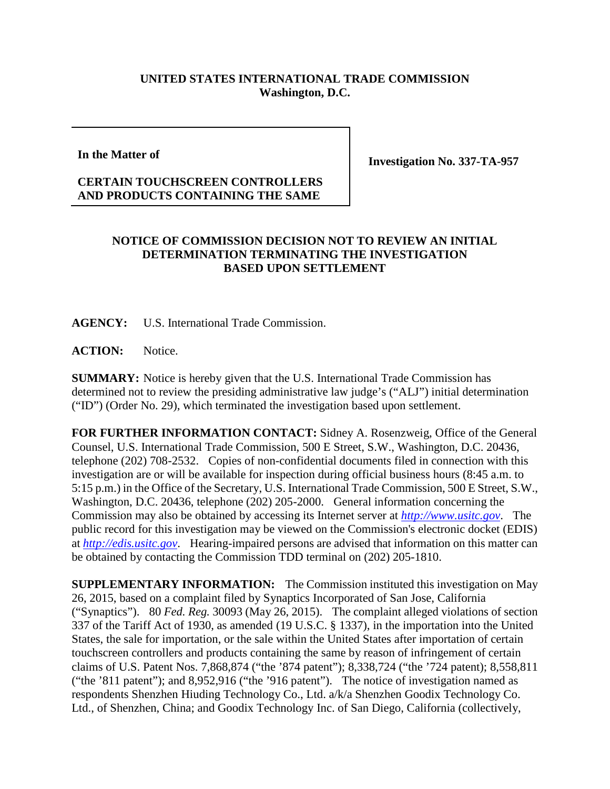## **UNITED STATES INTERNATIONAL TRADE COMMISSION Washington, D.C.**

**In the Matter of**

**Investigation No. 337-TA-957**

## **CERTAIN TOUCHSCREEN CONTROLLERS AND PRODUCTS CONTAINING THE SAME**

## **NOTICE OF COMMISSION DECISION NOT TO REVIEW AN INITIAL DETERMINATION TERMINATING THE INVESTIGATION BASED UPON SETTLEMENT**

**AGENCY:** U.S. International Trade Commission.

ACTION: Notice.

**SUMMARY:** Notice is hereby given that the U.S. International Trade Commission has determined not to review the presiding administrative law judge's ("ALJ") initial determination ("ID") (Order No. 29), which terminated the investigation based upon settlement.

**FOR FURTHER INFORMATION CONTACT:** Sidney A. Rosenzweig, Office of the General Counsel, U.S. International Trade Commission, 500 E Street, S.W., Washington, D.C. 20436, telephone (202) 708-2532. Copies of non-confidential documents filed in connection with this investigation are or will be available for inspection during official business hours (8:45 a.m. to 5:15 p.m.) in the Office of the Secretary, U.S. International Trade Commission, 500 E Street, S.W., Washington, D.C. 20436, telephone (202) 205-2000. General information concerning the Commission may also be obtained by accessing its Internet server at *[http://www.usitc.gov](http://www.usitc.gov/)*. The public record for this investigation may be viewed on the Commission's electronic docket (EDIS) at *[http://edis.usitc.gov](http://edis.usitc.gov/)*. Hearing-impaired persons are advised that information on this matter can be obtained by contacting the Commission TDD terminal on (202) 205-1810.

**SUPPLEMENTARY INFORMATION:** The Commission instituted this investigation on May 26, 2015, based on a complaint filed by Synaptics Incorporated of San Jose, California ("Synaptics"). 80 *Fed. Reg.* 30093 (May 26, 2015). The complaint alleged violations of section 337 of the Tariff Act of 1930, as amended (19 U.S.C. § 1337), in the importation into the United States, the sale for importation, or the sale within the United States after importation of certain touchscreen controllers and products containing the same by reason of infringement of certain claims of U.S. Patent Nos. 7,868,874 ("the '874 patent"); 8,338,724 ("the '724 patent); 8,558,811 ("the '811 patent"); and 8,952,916 ("the '916 patent"). The notice of investigation named as respondents Shenzhen Hiuding Technology Co., Ltd. a/k/a Shenzhen Goodix Technology Co. Ltd., of Shenzhen, China; and Goodix Technology Inc. of San Diego, California (collectively,